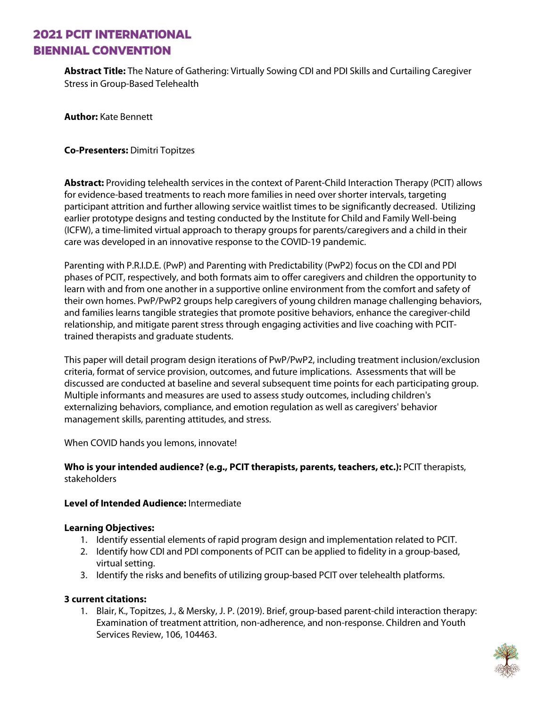## **2021 PCIT INTERNATIONAL BIENNIAL CONVENTION**

**Abstract Title:** The Nature of Gathering: Virtually Sowing CDI and PDI Skills and Curtailing Caregiver Stress in Group-Based Telehealth

**Author:** Kate Bennett

### **Co-Presenters:** Dimitri Topitzes

**Abstract:** Providing telehealth services in the context of Parent-Child Interaction Therapy (PCIT) allows for evidence-based treatments to reach more families in need over shorter intervals, targeting participant attrition and further allowing service waitlist times to be significantly decreased. Utilizing earlier prototype designs and testing conducted by the Institute for Child and Family Well-being (ICFW), a time-limited virtual approach to therapy groups for parents/caregivers and a child in their care was developed in an innovative response to the COVID-19 pandemic.

Parenting with P.R.I.D.E. (PwP) and Parenting with Predictability (PwP2) focus on the CDI and PDI phases of PCIT, respectively, and both formats aim to offer caregivers and children the opportunity to learn with and from one another in a supportive online environment from the comfort and safety of their own homes. PwP/PwP2 groups help caregivers of young children manage challenging behaviors, and families learns tangible strategies that promote positive behaviors, enhance the caregiver-child relationship, and mitigate parent stress through engaging activities and live coaching with PCITtrained therapists and graduate students.

This paper will detail program design iterations of PwP/PwP2, including treatment inclusion/exclusion criteria, format of service provision, outcomes, and future implications. Assessments that will be discussed are conducted at baseline and several subsequent time points for each participating group. Multiple informants and measures are used to assess study outcomes, including children's externalizing behaviors, compliance, and emotion regulation as well as caregivers' behavior management skills, parenting attitudes, and stress.

When COVID hands you lemons, innovate!

### **Who is your intended audience? (e.g., PCIT therapists, parents, teachers, etc.):** PCIT therapists, stakeholders

### **Level of Intended Audience:** Intermediate

### **Learning Objectives:**

- 1. Identify essential elements of rapid program design and implementation related to PCIT.
- 2. Identify how CDI and PDI components of PCIT can be applied to fidelity in a group-based, virtual setting.
- 3. Identify the risks and benefits of utilizing group-based PCIT over telehealth platforms.

### **3 current citations:**

1. Blair, K., Topitzes, J., & Mersky, J. P. (2019). Brief, group-based parent-child interaction therapy: Examination of treatment attrition, non-adherence, and non-response. Children and Youth Services Review, 106, 104463.